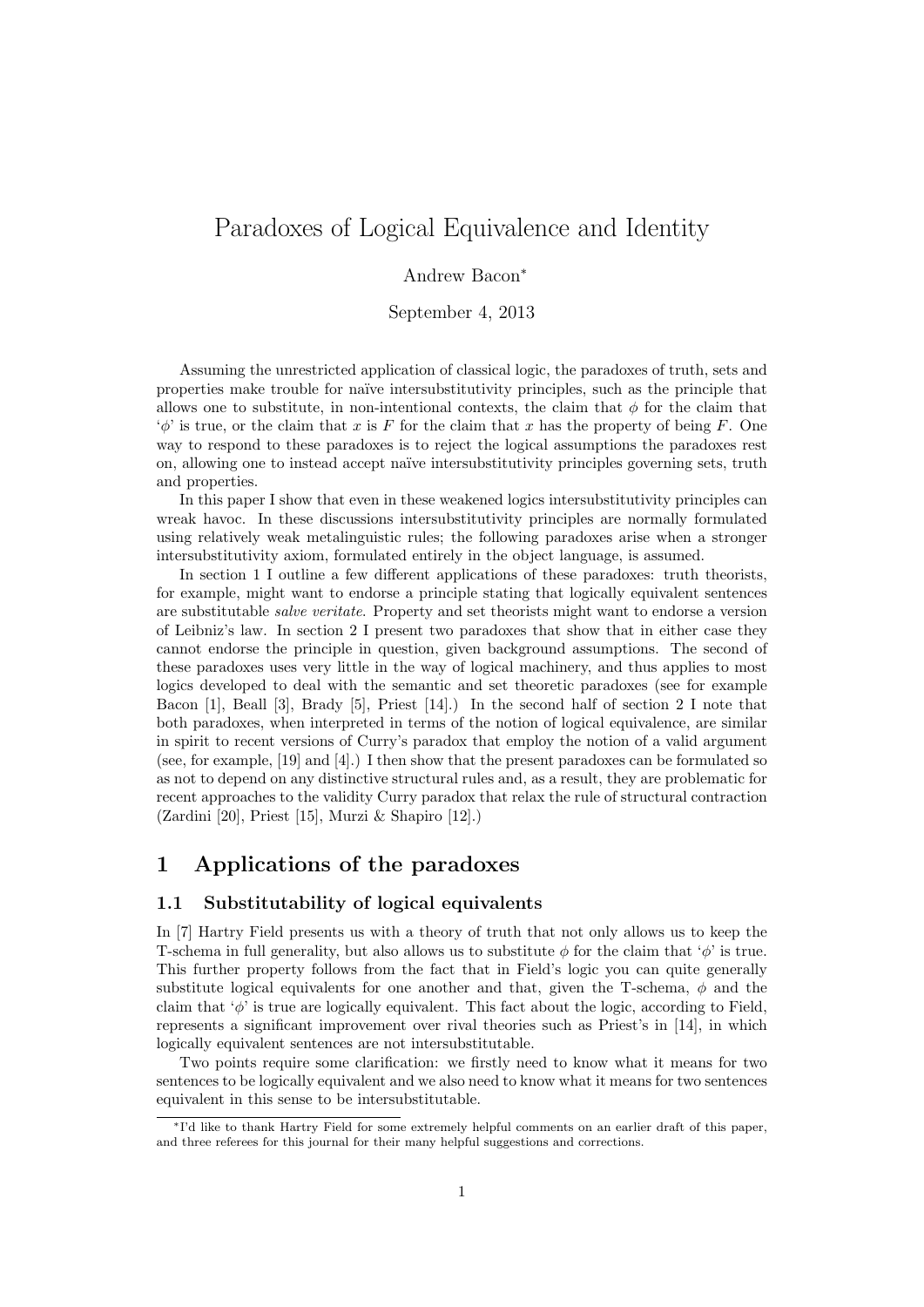# Paradoxes of Logical Equivalence and Identity

### Andrew Bacon<sup>∗</sup>

September 4, 2013

Assuming the unrestricted application of classical logic, the paradoxes of truth, sets and properties make trouble for na¨ıve intersubstitutivity principles, such as the principle that allows one to substitute, in non-intentional contexts, the claim that  $\phi$  for the claim that  $\phi'$  is true, or the claim that x is F for the claim that x has the property of being F. One way to respond to these paradoxes is to reject the logical assumptions the paradoxes rest on, allowing one to instead accept naïve intersubstitutivity principles governing sets, truth and properties.

In this paper I show that even in these weakened logics intersubstitutivity principles can wreak havoc. In these discussions intersubstitutivity principles are normally formulated using relatively weak metalinguistic rules; the following paradoxes arise when a stronger intersubstitutivity axiom, formulated entirely in the object language, is assumed.

In section 1 I outline a few different applications of these paradoxes: truth theorists, for example, might want to endorse a principle stating that logically equivalent sentences are substitutable salve veritate. Property and set theorists might want to endorse a version of Leibniz's law. In section 2 I present two paradoxes that show that in either case they cannot endorse the principle in question, given background assumptions. The second of these paradoxes uses very little in the way of logical machinery, and thus applies to most logics developed to deal with the semantic and set theoretic paradoxes (see for example Bacon [1], Beall [3], Brady [5], Priest [14].) In the second half of section 2 I note that both paradoxes, when interpreted in terms of the notion of logical equivalence, are similar in spirit to recent versions of Curry's paradox that employ the notion of a valid argument (see, for example, [19] and [4].) I then show that the present paradoxes can be formulated so as not to depend on any distinctive structural rules and, as a result, they are problematic for recent approaches to the validity Curry paradox that relax the rule of structural contraction (Zardini [20], Priest [15], Murzi & Shapiro [12].)

# 1 Applications of the paradoxes

### 1.1 Substitutability of logical equivalents

In [7] Hartry Field presents us with a theory of truth that not only allows us to keep the T-schema in full generality, but also allows us to substitute  $\phi$  for the claim that ' $\phi$ ' is true. This further property follows from the fact that in Field's logic you can quite generally substitute logical equivalents for one another and that, given the T-schema,  $\phi$  and the claim that  $\phi'$  is true are logically equivalent. This fact about the logic, according to Field. represents a significant improvement over rival theories such as Priest's in [14], in which logically equivalent sentences are not intersubstitutable.

Two points require some clarification: we firstly need to know what it means for two sentences to be logically equivalent and we also need to know what it means for two sentences equivalent in this sense to be intersubstitutable.

<sup>∗</sup>I'd like to thank Hartry Field for some extremely helpful comments on an earlier draft of this paper, and three referees for this journal for their many helpful suggestions and corrections.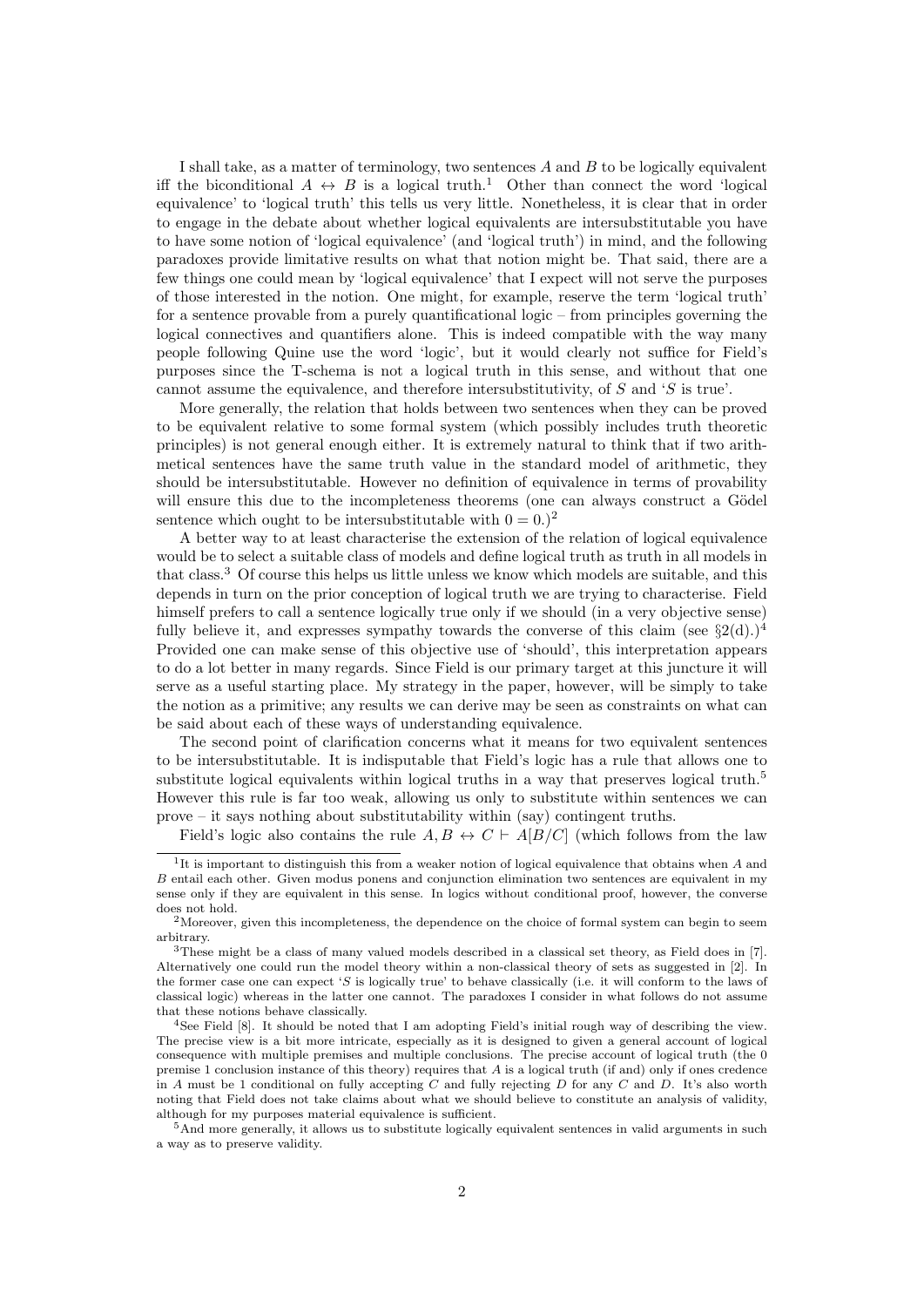I shall take, as a matter of terminology, two sentences  $A$  and  $B$  to be logically equivalent iff the biconditional  $A \leftrightarrow B$  is a logical truth.<sup>1</sup> Other than connect the word 'logical equivalence' to 'logical truth' this tells us very little. Nonetheless, it is clear that in order to engage in the debate about whether logical equivalents are intersubstitutable you have to have some notion of 'logical equivalence' (and 'logical truth') in mind, and the following paradoxes provide limitative results on what that notion might be. That said, there are a few things one could mean by 'logical equivalence' that I expect will not serve the purposes of those interested in the notion. One might, for example, reserve the term 'logical truth' for a sentence provable from a purely quantificational logic – from principles governing the logical connectives and quantifiers alone. This is indeed compatible with the way many people following Quine use the word 'logic', but it would clearly not suffice for Field's purposes since the T-schema is not a logical truth in this sense, and without that one cannot assume the equivalence, and therefore intersubstitutivity, of S and 'S is true'.

More generally, the relation that holds between two sentences when they can be proved to be equivalent relative to some formal system (which possibly includes truth theoretic principles) is not general enough either. It is extremely natural to think that if two arithmetical sentences have the same truth value in the standard model of arithmetic, they should be intersubstitutable. However no definition of equivalence in terms of provability will ensure this due to the incompleteness theorems (one can always construct a Gödel sentence which ought to be intersubstitutable with  $0 = 0.2$ 

A better way to at least characterise the extension of the relation of logical equivalence would be to select a suitable class of models and define logical truth as truth in all models in that class.<sup>3</sup> Of course this helps us little unless we know which models are suitable, and this depends in turn on the prior conception of logical truth we are trying to characterise. Field himself prefers to call a sentence logically true only if we should (in a very objective sense) fully believe it, and expresses sympathy towards the converse of this claim (see  $\S2(d).$ )<sup>4</sup> Provided one can make sense of this objective use of 'should', this interpretation appears to do a lot better in many regards. Since Field is our primary target at this juncture it will serve as a useful starting place. My strategy in the paper, however, will be simply to take the notion as a primitive; any results we can derive may be seen as constraints on what can be said about each of these ways of understanding equivalence.

The second point of clarification concerns what it means for two equivalent sentences to be intersubstitutable. It is indisputable that Field's logic has a rule that allows one to substitute logical equivalents within logical truths in a way that preserves logical truth.<sup>5</sup> However this rule is far too weak, allowing us only to substitute within sentences we can prove – it says nothing about substitutability within (say) contingent truths.

Field's logic also contains the rule  $A, B \leftrightarrow C \vdash A[B/C]$  (which follows from the law

<sup>5</sup>And more generally, it allows us to substitute logically equivalent sentences in valid arguments in such a way as to preserve validity.

<sup>&</sup>lt;sup>1</sup>It is important to distinguish this from a weaker notion of logical equivalence that obtains when A and B entail each other. Given modus ponens and conjunction elimination two sentences are equivalent in my sense only if they are equivalent in this sense. In logics without conditional proof, however, the converse does not hold.

<sup>&</sup>lt;sup>2</sup>Moreover, given this incompleteness, the dependence on the choice of formal system can begin to seem arbitrary.

<sup>3</sup>These might be a class of many valued models described in a classical set theory, as Field does in [7]. Alternatively one could run the model theory within a non-classical theory of sets as suggested in [2]. In the former case one can expect 'S is logically true' to behave classically (i.e. it will conform to the laws of classical logic) whereas in the latter one cannot. The paradoxes I consider in what follows do not assume that these notions behave classically.

<sup>4</sup>See Field [8]. It should be noted that I am adopting Field's initial rough way of describing the view. The precise view is a bit more intricate, especially as it is designed to given a general account of logical consequence with multiple premises and multiple conclusions. The precise account of logical truth (the 0 premise 1 conclusion instance of this theory) requires that  $A$  is a logical truth (if and) only if ones credence in A must be 1 conditional on fully accepting C and fully rejecting D for any C and D. It's also worth noting that Field does not take claims about what we should believe to constitute an analysis of validity, although for my purposes material equivalence is sufficient.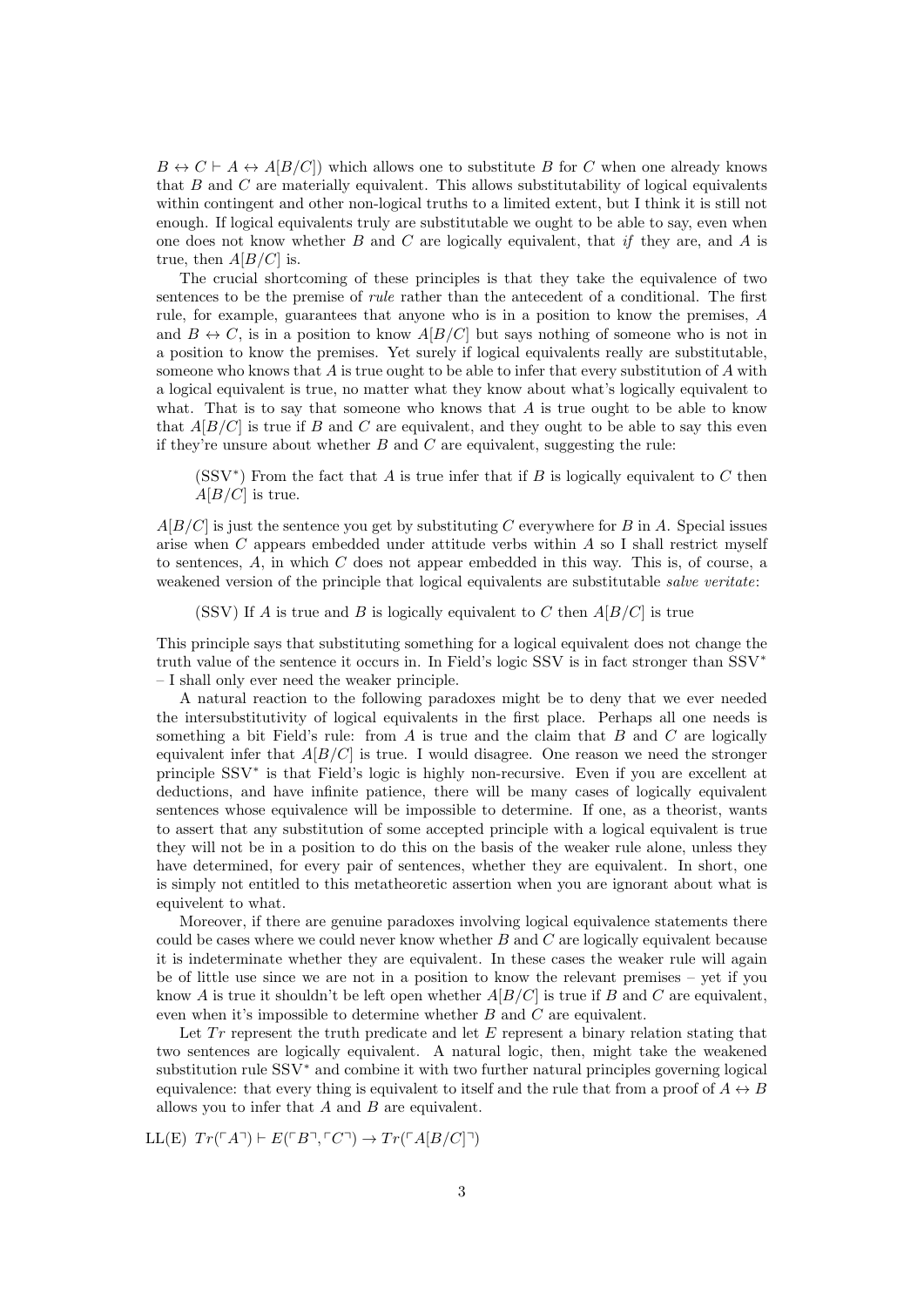$B \leftrightarrow C \vdash A \leftrightarrow A[B/C])$  which allows one to substitute B for C when one already knows that B and C are materially equivalent. This allows substitutability of logical equivalents within contingent and other non-logical truths to a limited extent, but I think it is still not enough. If logical equivalents truly are substitutable we ought to be able to say, even when one does not know whether  $B$  and  $C$  are logically equivalent, that if they are, and  $A$  is true, then  $A[B/C]$  is.

The crucial shortcoming of these principles is that they take the equivalence of two sentences to be the premise of rule rather than the antecedent of a conditional. The first rule, for example, guarantees that anyone who is in a position to know the premises, A and  $B \leftrightarrow C$ , is in a position to know  $A[B/C]$  but says nothing of someone who is not in a position to know the premises. Yet surely if logical equivalents really are substitutable, someone who knows that  $A$  is true ought to be able to infer that every substitution of  $A$  with a logical equivalent is true, no matter what they know about what's logically equivalent to what. That is to say that someone who knows that  $A$  is true ought to be able to know that  $A[B/C]$  is true if B and C are equivalent, and they ought to be able to say this even if they're unsure about whether  $B$  and  $C$  are equivalent, suggesting the rule:

(SSV<sup>\*</sup>) From the fact that A is true infer that if B is logically equivalent to C then  $A[B/C]$  is true.

 $A[B/C]$  is just the sentence you get by substituting C everywhere for B in A. Special issues arise when C appears embedded under attitude verbs within A so I shall restrict myself to sentences,  $A$ , in which  $C$  does not appear embedded in this way. This is, of course, a weakened version of the principle that logical equivalents are substitutable *salve veritate*:

(SSV) If A is true and B is logically equivalent to C then  $A[B/C]$  is true

This principle says that substituting something for a logical equivalent does not change the truth value of the sentence it occurs in. In Field's logic SSV is in fact stronger than SSV<sup>∗</sup> – I shall only ever need the weaker principle.

A natural reaction to the following paradoxes might be to deny that we ever needed the intersubstitutivity of logical equivalents in the first place. Perhaps all one needs is something a bit Field's rule: from  $A$  is true and the claim that  $B$  and  $C$  are logically equivalent infer that  $A[B/C]$  is true. I would disagree. One reason we need the stronger principle SSV<sup>∗</sup> is that Field's logic is highly non-recursive. Even if you are excellent at deductions, and have infinite patience, there will be many cases of logically equivalent sentences whose equivalence will be impossible to determine. If one, as a theorist, wants to assert that any substitution of some accepted principle with a logical equivalent is true they will not be in a position to do this on the basis of the weaker rule alone, unless they have determined, for every pair of sentences, whether they are equivalent. In short, one is simply not entitled to this metatheoretic assertion when you are ignorant about what is equivelent to what.

Moreover, if there are genuine paradoxes involving logical equivalence statements there could be cases where we could never know whether  $B$  and  $C$  are logically equivalent because it is indeterminate whether they are equivalent. In these cases the weaker rule will again be of little use since we are not in a position to know the relevant premises – yet if you know A is true it shouldn't be left open whether  $A[B/C]$  is true if B and C are equivalent, even when it's impossible to determine whether B and C are equivalent.

Let  $Tr$  represent the truth predicate and let  $E$  represent a binary relation stating that two sentences are logically equivalent. A natural logic, then, might take the weakened substitution rule SSV<sup>∗</sup> and combine it with two further natural principles governing logical equivalence: that every thing is equivalent to itself and the rule that from a proof of  $A \leftrightarrow B$ allows you to infer that  $A$  and  $B$  are equivalent.

 $LL(E)$   $Tr(\ulcorner A\urcorner) \vdash E(\ulcorner B\urcorner, \ulcorner C\urcorner) \rightarrow Tr(\ulcorner A[B/C\urcorner\urcorner)$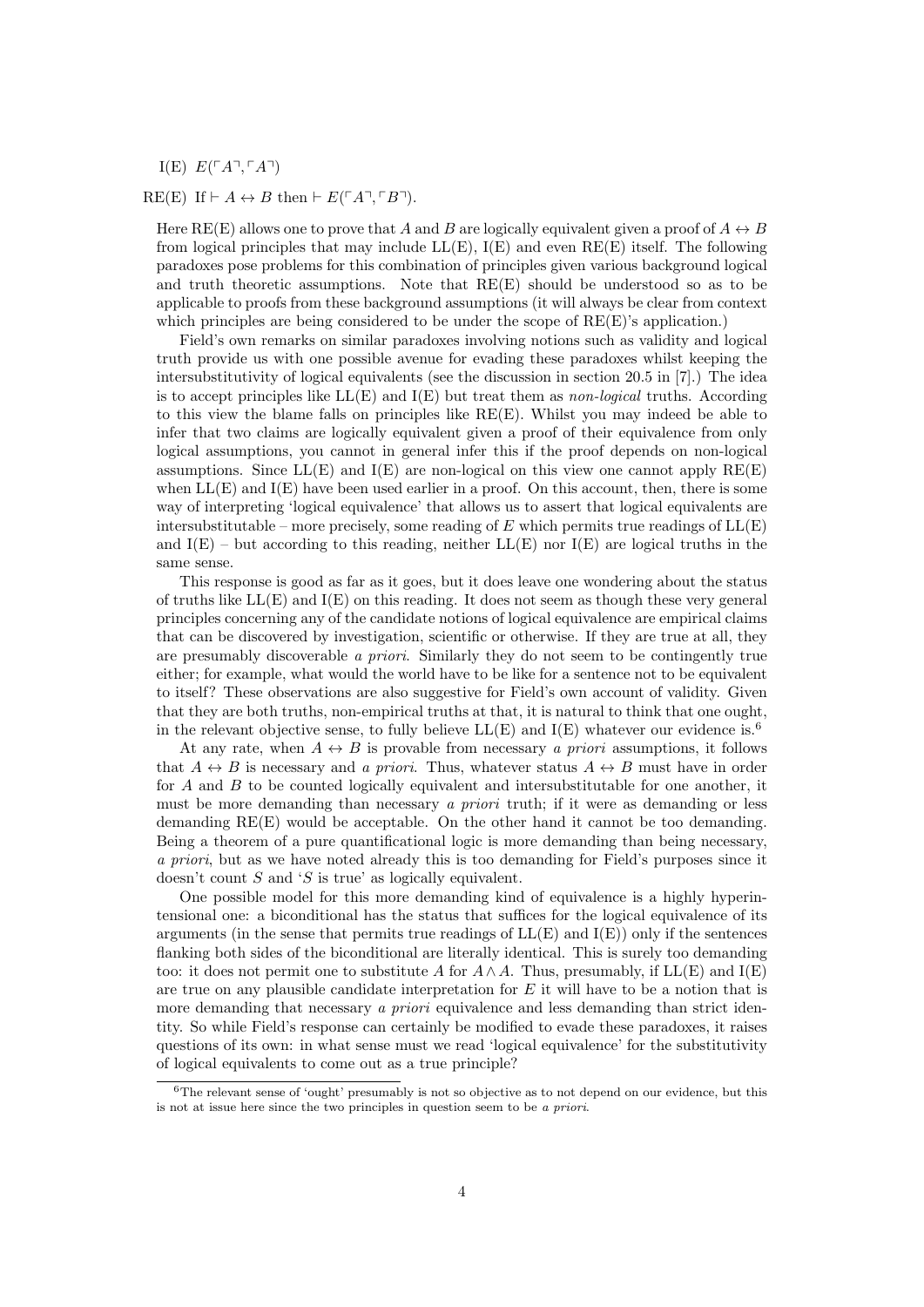I(E)  $E(\ulcorner A \urcorner, \ulcorner A \urcorner)$ 

#### RE(E) If  $\vdash A \leftrightarrow B$  then  $\vdash E(\ulcorner A \urcorner \ulcorner B \urcorner).$

Here RE(E) allows one to prove that A and B are logically equivalent given a proof of  $A \leftrightarrow B$ from logical principles that may include  $LL(E)$ ,  $I(E)$  and even  $RE(E)$  itself. The following paradoxes pose problems for this combination of principles given various background logical and truth theoretic assumptions. Note that  $RE(E)$  should be understood so as to be applicable to proofs from these background assumptions (it will always be clear from context which principles are being considered to be under the scope of  $RE(E)$ 's application.)

Field's own remarks on similar paradoxes involving notions such as validity and logical truth provide us with one possible avenue for evading these paradoxes whilst keeping the intersubstitutivity of logical equivalents (see the discussion in section 20.5 in [7].) The idea is to accept principles like  $LL(E)$  and  $I(E)$  but treat them as non-logical truths. According to this view the blame falls on principles like RE(E). Whilst you may indeed be able to infer that two claims are logically equivalent given a proof of their equivalence from only logical assumptions, you cannot in general infer this if the proof depends on non-logical assumptions. Since  $LL(E)$  and  $I(E)$  are non-logical on this view one cannot apply  $RE(E)$ when  $LL(E)$  and  $I(E)$  have been used earlier in a proof. On this account, then, there is some way of interpreting 'logical equivalence' that allows us to assert that logical equivalents are intersubstitutable – more precisely, some reading of E which permits true readings of  $LL(E)$ and  $I(E)$  – but according to this reading, neither  $LL(E)$  nor  $I(E)$  are logical truths in the same sense.

This response is good as far as it goes, but it does leave one wondering about the status of truths like  $LL(E)$  and  $I(E)$  on this reading. It does not seem as though these very general principles concerning any of the candidate notions of logical equivalence are empirical claims that can be discovered by investigation, scientific or otherwise. If they are true at all, they are presumably discoverable a priori. Similarly they do not seem to be contingently true either; for example, what would the world have to be like for a sentence not to be equivalent to itself? These observations are also suggestive for Field's own account of validity. Given that they are both truths, non-empirical truths at that, it is natural to think that one ought, in the relevant objective sense, to fully believe  $LL(E)$  and  $I(E)$  whatever our evidence is.<sup>6</sup>

At any rate, when  $A \leftrightarrow B$  is provable from necessary a priori assumptions, it follows that  $A \leftrightarrow B$  is necessary and a priori. Thus, whatever status  $A \leftrightarrow B$  must have in order for  $A$  and  $B$  to be counted logically equivalent and intersubstitutable for one another, it must be more demanding than necessary a priori truth; if it were as demanding or less demanding RE(E) would be acceptable. On the other hand it cannot be too demanding. Being a theorem of a pure quantificational logic is more demanding than being necessary, a priori, but as we have noted already this is too demanding for Field's purposes since it doesn't count S and 'S is true' as logically equivalent.

One possible model for this more demanding kind of equivalence is a highly hyperintensional one: a biconditional has the status that suffices for the logical equivalence of its arguments (in the sense that permits true readings of  $LL(E)$  and  $I(E)$ ) only if the sentences flanking both sides of the biconditional are literally identical. This is surely too demanding too: it does not permit one to substitute A for  $A \wedge A$ . Thus, presumably, if LL(E) and I(E) are true on any plausible candidate interpretation for  $E$  it will have to be a notion that is more demanding that necessary a priori equivalence and less demanding than strict identity. So while Field's response can certainly be modified to evade these paradoxes, it raises questions of its own: in what sense must we read 'logical equivalence' for the substitutivity of logical equivalents to come out as a true principle?

<sup>&</sup>lt;sup>6</sup>The relevant sense of 'ought' presumably is not so objective as to not depend on our evidence, but this is not at issue here since the two principles in question seem to be a priori.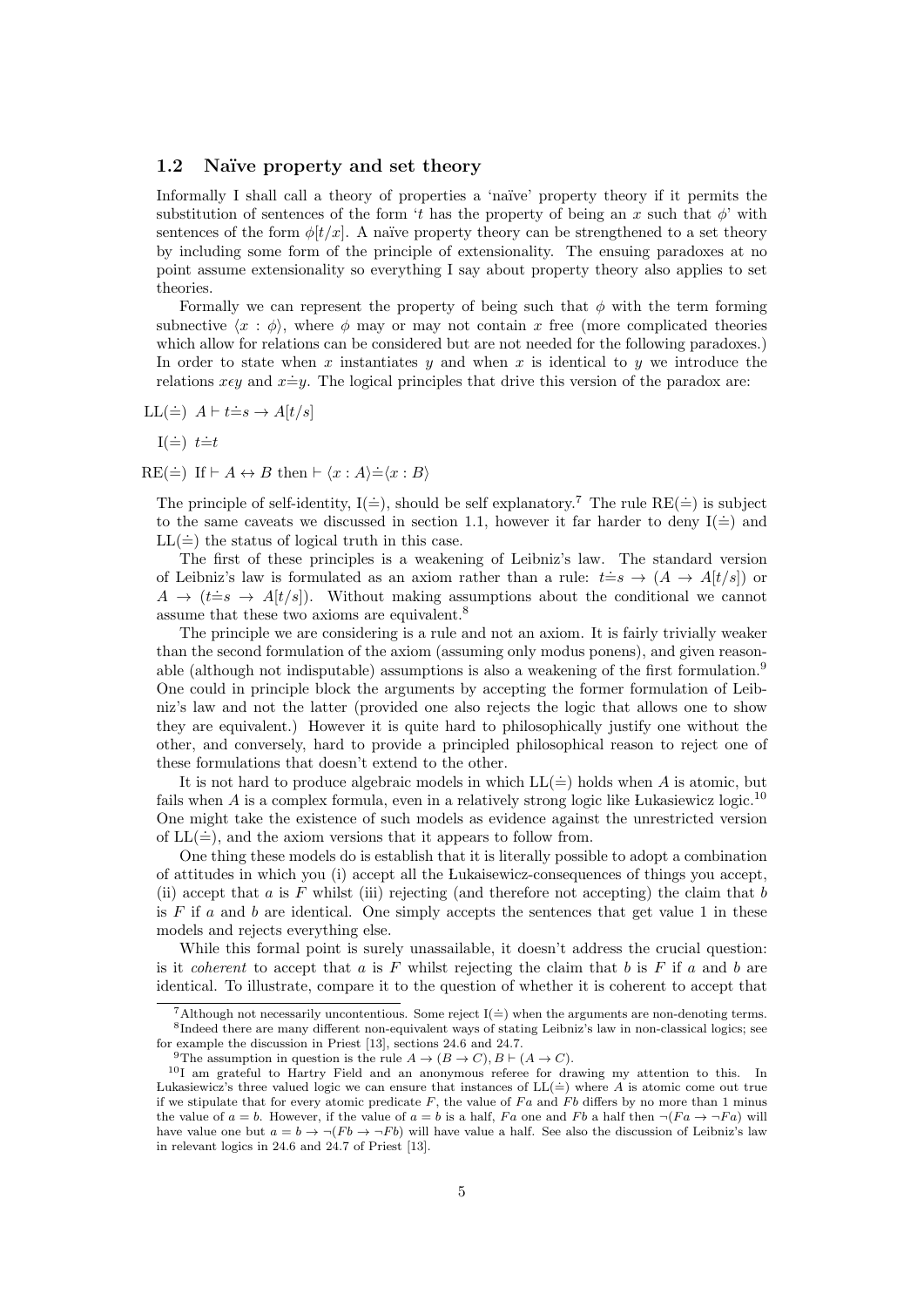#### 1.2 Naïve property and set theory

Informally I shall call a theory of properties a 'naïve' property theory if it permits the substitution of sentences of the form 't has the property of being an x such that  $\phi'$  with sentences of the form  $\phi[t/x]$ . A naïve property theory can be strengthened to a set theory by including some form of the principle of extensionality. The ensuing paradoxes at no point assume extensionality so everything I say about property theory also applies to set theories.

Formally we can represent the property of being such that  $\phi$  with the term forming subnective  $\langle x : \phi \rangle$ , where  $\phi$  may or may not contain x free (more complicated theories which allow for relations can be considered but are not needed for the following paradoxes.) In order to state when x instantiates y and when x is identical to y we introduce the relations  $x \in y$  and  $x \doteq y$ . The logical principles that drive this version of the paradox are:

$$
LL(\doteq) \ \ A \vdash t \doteq s \rightarrow A[t/s]
$$

 $I(\dot{=})$   $t \dot{=} t$ 

 $RE(\doteq)$  If  $\vdash A \leftrightarrow B$  then  $\vdash \langle x : A \rangle \doteq \langle x : B \rangle$ 

The principle of self-identity,  $I(\dot{=})$ , should be self explanatory.<sup>7</sup> The rule RE( $\dot{=}$ ) is subject to the same caveats we discussed in section 1.1, however it far harder to deny  $I(=)$  and  $LL(\dot{=}$  the status of logical truth in this case.

The first of these principles is a weakening of Leibniz's law. The standard version of Leibniz's law is formulated as an axiom rather than a rule:  $t = s \rightarrow (A \rightarrow A[t/s])$  or  $A \rightarrow (t=s \rightarrow A[t/s])$ . Without making assumptions about the conditional we cannot assume that these two axioms are equivalent.<sup>8</sup>

The principle we are considering is a rule and not an axiom. It is fairly trivially weaker than the second formulation of the axiom (assuming only modus ponens), and given reasonable (although not indisputable) assumptions is also a weakening of the first formulation.<sup>9</sup> One could in principle block the arguments by accepting the former formulation of Leibniz's law and not the latter (provided one also rejects the logic that allows one to show they are equivalent.) However it is quite hard to philosophically justify one without the other, and conversely, hard to provide a principled philosophical reason to reject one of these formulations that doesn't extend to the other.

It is not hard to produce algebraic models in which  $LL(\dot{=}$  holds when A is atomic, but fails when  $A$  is a complex formula, even in a relatively strong logic like Lukasiewicz logic.<sup>10</sup> One might take the existence of such models as evidence against the unrestricted version of  $LL(\dot =)$ , and the axiom versions that it appears to follow from.

One thing these models do is establish that it is literally possible to adopt a combination of attitudes in which you (i) accept all the Lukaisewicz-consequences of things you accept, (ii) accept that a is F whilst (iii) rejecting (and therefore not accepting) the claim that b is  $F$  if  $a$  and  $b$  are identical. One simply accepts the sentences that get value 1 in these models and rejects everything else.

While this formal point is surely unassailable, it doesn't address the crucial question: is it *coherent* to accept that a is F whilst rejecting the claim that b is F if a and b are identical. To illustrate, compare it to the question of whether it is coherent to accept that

<sup>&</sup>lt;sup>7</sup>Although not necessarily uncontentious. Some reject  $I(=)$  when the arguments are non-denoting terms. <sup>8</sup>Indeed there are many different non-equivalent ways of stating Leibniz's law in non-classical logics; see for example the discussion in Priest [13], sections 24.6 and 24.7.

<sup>&</sup>lt;sup>9</sup>The assumption in question is the rule  $A \to (B \to C), B \vdash (A \to C)$ .

<sup>&</sup>lt;sup>10</sup>I am grateful to Hartry Field and an anonymous referee for drawing my attention to this. In Lukasiewicz's three valued logic we can ensure that instances of  $LL(\doteq)$  where A is atomic come out true if we stipulate that for every atomic predicate  $F$ , the value of  $Fa$  and  $Fb$  differs by no more than 1 minus the value of  $a = b$ . However, if the value of  $a = b$  is a half, Fa one and Fb a half then  $\neg (Fa \rightarrow \neg Fa)$  will have value one but  $a = b \rightarrow \neg (Fb \rightarrow \neg Fb)$  will have value a half. See also the discussion of Leibniz's law in relevant logics in 24.6 and 24.7 of Priest [13].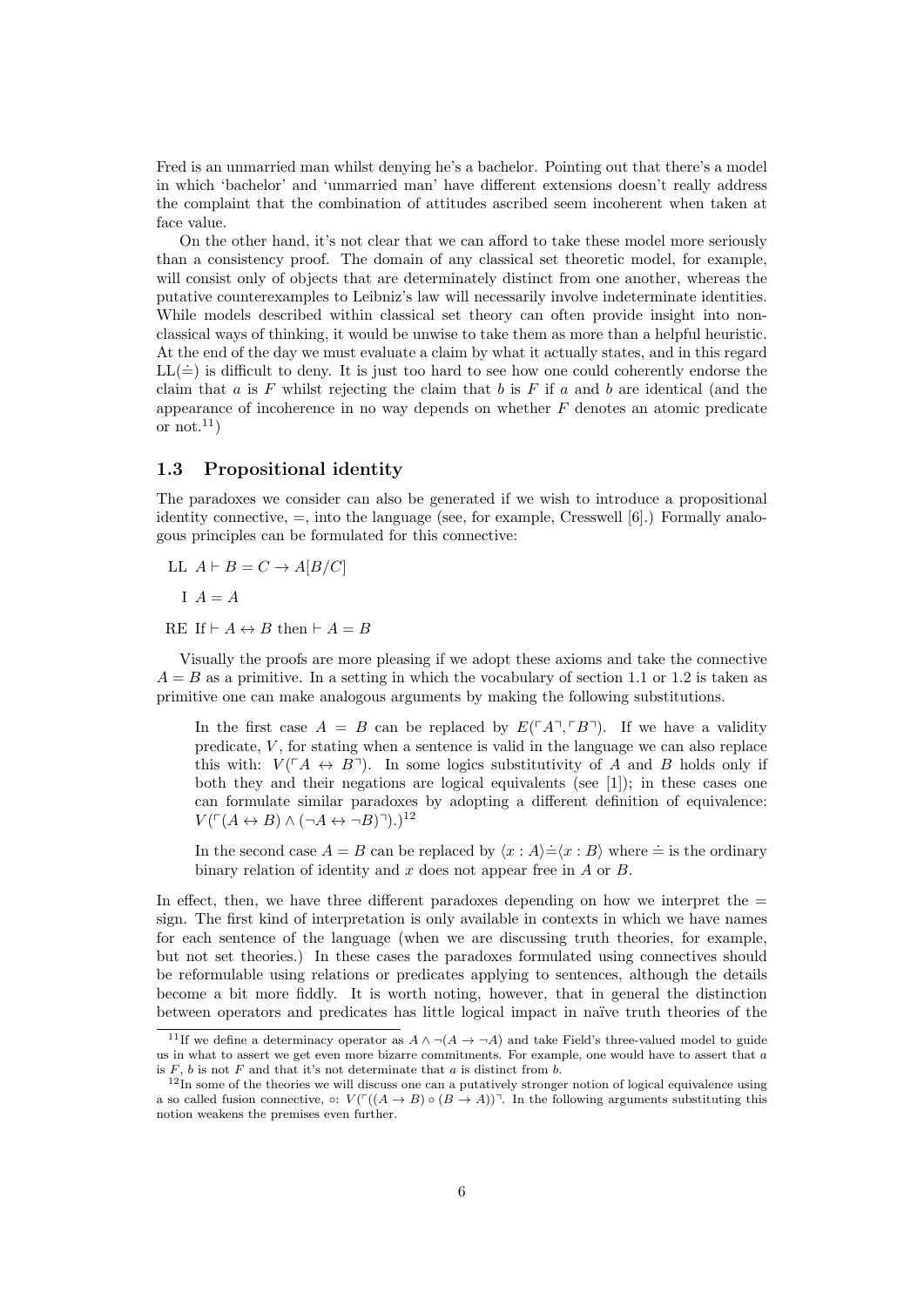Fred is an unmarried man whilst denying he's a bachelor. Pointing out that there's a model in which 'bachelor' and 'unmarried man' have different extensions doesn't really address the complaint that the combination of attitudes ascribed seem incoherent when taken at face value.

On the other hand, it's not clear that we can afford to take these model more seriously than a consistency proof. The domain of any classical set theoretic model, for example, will consist only of objects that are determinately distinct from one another, whereas the putative counterexamples to Leibniz's law will necessarily involve indeterminate identities. While models described within classical set theory can often provide insight into nonclassical ways of thinking, it would be unwise to take them as more than a helpful heuristic. At the end of the day we must evaluate a claim by what it actually states, and in this regard  $LL(\dot{=}))$  is difficult to deny. It is just too hard to see how one could coherently endorse the claim that  $a$  is  $F$  whilst rejecting the claim that  $b$  is  $F$  if  $a$  and  $b$  are identical (and the appearance of incoherence in no way depends on whether  $F$  denotes an atomic predicate or not.<sup>11</sup>)

### 1.3 Propositional identity

The paradoxes we consider can also be generated if we wish to introduce a propositional identity connective,  $=$ , into the language (see, for example, Cresswell  $[6]$ .) Formally analogous principles can be formulated for this connective:

LL  $A \vdash B = C \rightarrow A[B/C]$ 

 $I A = A$ 

RE If  $\vdash A \leftrightarrow B$  then  $\vdash A = B$ 

Visually the proofs are more pleasing if we adopt these axioms and take the connective  $A = B$  as a primitive. In a setting in which the vocabulary of section 1.1 or 1.2 is taken as primitive one can make analogous arguments by making the following substitutions.

In the first case  $A = B$  can be replaced by  $E(\ulcorner A \urcorner \ulcorner B \urcorner)$ . If we have a validity predicate,  $V$ , for stating when a sentence is valid in the language we can also replace this with:  $V(\ulcorner A \leftrightarrow B\urcorner)$ . In some logics substitutivity of A and B holds only if both they and their negations are logical equivalents (see [1]); in these cases one can formulate similar paradoxes by adopting a different definition of equivalence:  $V(\ulcorner (A \leftrightarrow B) \land (\neg A \leftrightarrow \neg B)\urcorner).$ <sup>12</sup>

In the second case  $A = B$  can be replaced by  $\langle x : A \rangle = \langle x : B \rangle$  where  $\dot{=}$  is the ordinary binary relation of identity and x does not appear free in  $A$  or  $B$ .

In effect, then, we have three different paradoxes depending on how we interpret the  $=$ sign. The first kind of interpretation is only available in contexts in which we have names for each sentence of the language (when we are discussing truth theories, for example, but not set theories.) In these cases the paradoxes formulated using connectives should be reformulable using relations or predicates applying to sentences, although the details become a bit more fiddly. It is worth noting, however, that in general the distinction between operators and predicates has little logical impact in na¨ıve truth theories of the

<sup>&</sup>lt;sup>11</sup>If we define a determinacy operator as  $A \wedge \neg (A \rightarrow \neg A)$  and take Field's three-valued model to guide us in what to assert we get even more bizarre commitments. For example, one would have to assert that  $a$ is  $F$ ,  $b$  is not  $F$  and that it's not determinate that  $a$  is distinct from  $b$ .

 $12$ In some of the theories we will discuss one can a putatively stronger notion of logical equivalence using a so called fusion connective,  $\circ: V(\Gamma((A \to B) \circ (B \to A)))$ . In the following arguments substituting this notion weakens the premises even further.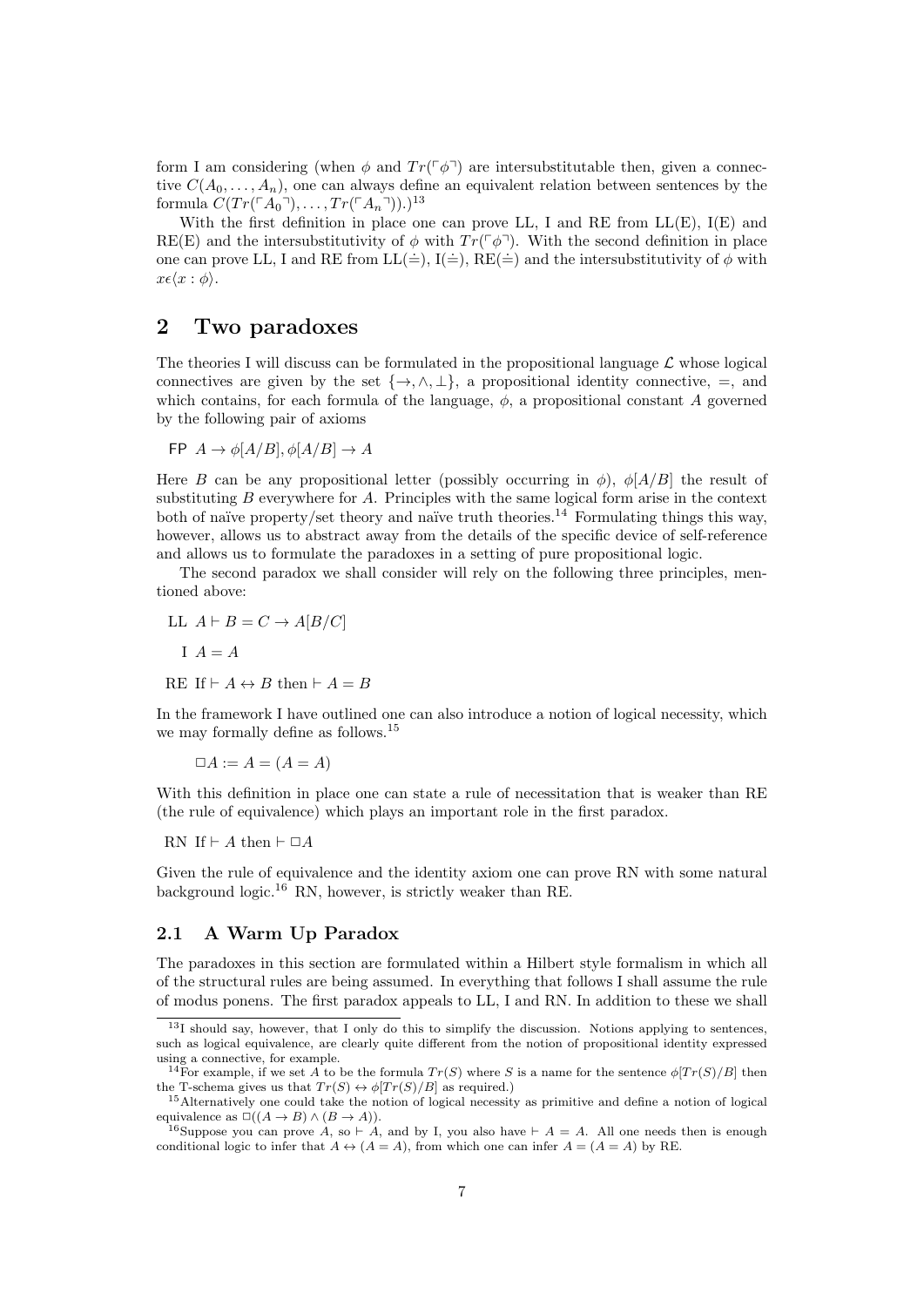form I am considering (when  $\phi$  and  $Tr(\phi^{\dagger})$  are intersubstitutable then, given a connective  $C(A_0, \ldots, A_n)$ , one can always define an equivalent relation between sentences by the formula  $C(Tr(\ulcorner A_0 \urcorner), \ldots, Tr(\ulcorner A_n \urcorner)).)^{13}$ 

With the first definition in place one can prove LL, I and RE from LL(E), I(E) and RE(E) and the intersubstitutivity of  $\phi$  with  $Tr(\phi^{\dagger})$ . With the second definition in place one can prove LL, I and RE from  $LL(\dot{=}), I(\dot{=}), RE(\dot{=}))$  and the intersubstitutivity of  $\phi$  with  $x \epsilon \langle x : \phi \rangle$ .

# 2 Two paradoxes

The theories I will discuss can be formulated in the propositional language  $\mathcal L$  whose logical connectives are given by the set  $\{\rightarrow, \land, \bot\}$ , a propositional identity connective, =, and which contains, for each formula of the language,  $\phi$ , a propositional constant A governed by the following pair of axioms

$$
FP \, A \to \phi[A/B], \phi[A/B] \to A
$$

Here B can be any propositional letter (possibly occurring in  $\phi$ ),  $\phi[A/B]$  the result of substituting  $B$  everywhere for  $A$ . Principles with the same logical form arise in the context both of naïve property/set theory and naïve truth theories.<sup>14</sup> Formulating things this way, however, allows us to abstract away from the details of the specific device of self-reference and allows us to formulate the paradoxes in a setting of pure propositional logic.

The second paradox we shall consider will rely on the following three principles, mentioned above:

$$
\begin{aligned} \text{LL} \ \ A \vdash B &= C \to A[B/C] \\ \text{I} \ \ A &= A \\ \text{RE} \ \text{If} \vdash A &\leftrightarrow B \ \text{then} \vdash A = B \end{aligned}
$$

In the framework I have outlined one can also introduce a notion of logical necessity, which we may formally define as follows.<sup>15</sup>

 $\Box A := A = (A = A)$ 

With this definition in place one can state a rule of necessitation that is weaker than RE (the rule of equivalence) which plays an important role in the first paradox.

RN If  $\vdash A$  then  $\vdash \Box A$ 

Given the rule of equivalence and the identity axiom one can prove RN with some natural background logic.<sup>16</sup> RN, however, is strictly weaker than RE.

### 2.1 A Warm Up Paradox

The paradoxes in this section are formulated within a Hilbert style formalism in which all of the structural rules are being assumed. In everything that follows I shall assume the rule of modus ponens. The first paradox appeals to LL, I and RN. In addition to these we shall

 $13I$  should say, however, that I only do this to simplify the discussion. Notions applying to sentences, such as logical equivalence, are clearly quite different from the notion of propositional identity expressed using a connective, for example.

<sup>&</sup>lt;sup>14</sup>For example, if we set A to be the formula  $Tr(S)$  where S is a name for the sentence  $\phi[Tr(S)/B]$  then the T-schema gives us that  $Tr(S) \leftrightarrow \phi [Tr(S)/B]$  as required.)

<sup>15</sup>Alternatively one could take the notion of logical necessity as primitive and define a notion of logical equivalence as  $\Box((A \rightarrow B) \land (B \rightarrow A)).$ 

<sup>&</sup>lt;sup>16</sup>Suppose you can prove A, so  $\vdots$  A, and by I, you also have  $\vdots$  A = A. All one needs then is enough conditional logic to infer that  $A \leftrightarrow (A = A)$ , from which one can infer  $A = (A = A)$  by RE.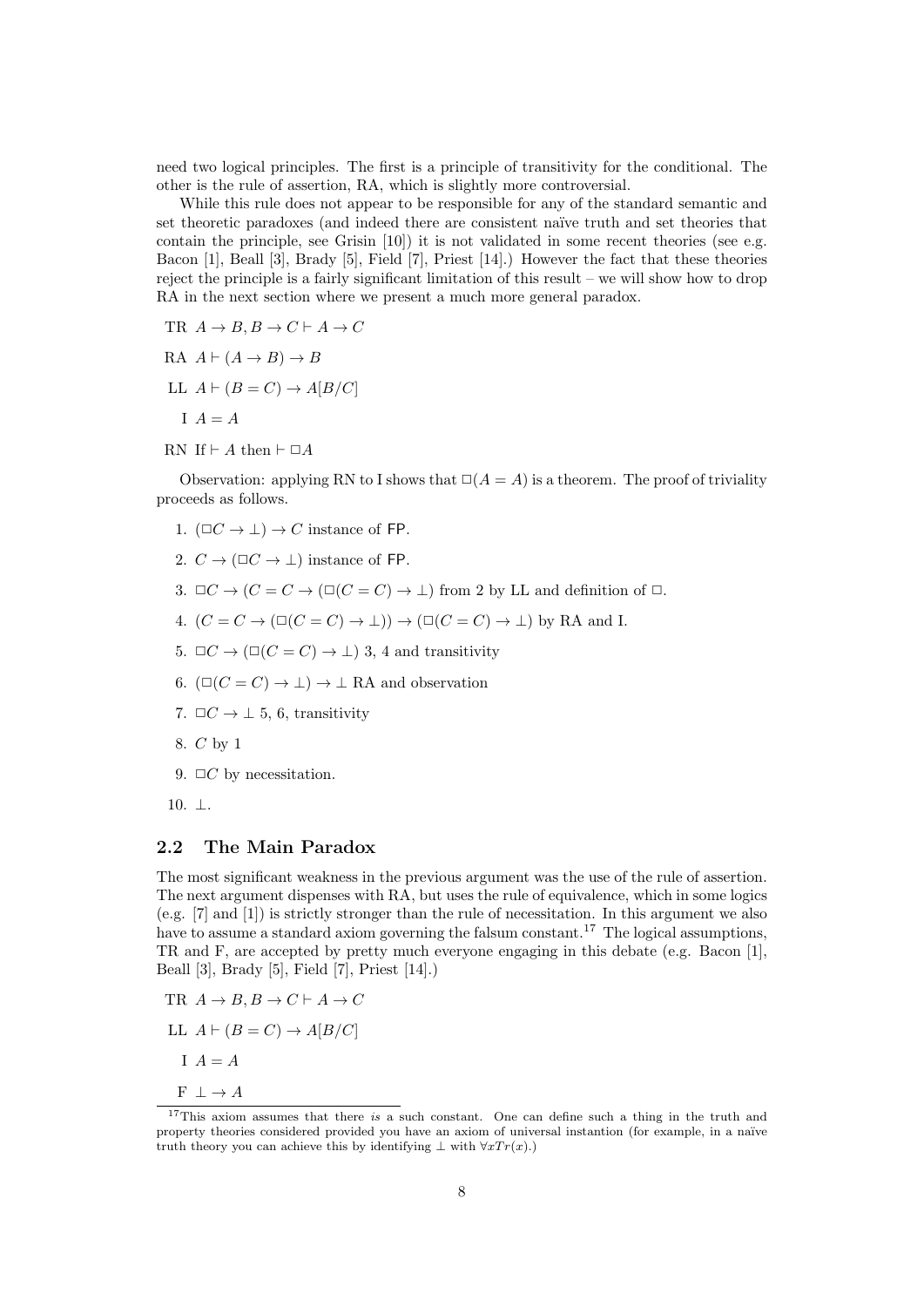need two logical principles. The first is a principle of transitivity for the conditional. The other is the rule of assertion, RA, which is slightly more controversial.

While this rule does not appear to be responsible for any of the standard semantic and set theoretic paradoxes (and indeed there are consistent naïve truth and set theories that contain the principle, see Grisin [10]) it is not validated in some recent theories (see e.g. Bacon [1], Beall [3], Brady [5], Field [7], Priest [14].) However the fact that these theories reject the principle is a fairly significant limitation of this result – we will show how to drop RA in the next section where we present a much more general paradox.

- TR  $A \to B$ ,  $B \to C \vdash A \to C$
- RA  $A \vdash (A \rightarrow B) \rightarrow B$
- LL  $A \vdash (B = C) \rightarrow A[B/C]$ 
	- $I \quad A = A$
- RN If  $\vdash A$  then  $\vdash \Box A$

Observation: applying RN to I shows that  $\Box(A = A)$  is a theorem. The proof of triviality proceeds as follows.

- 1.  $(\Box C \rightarrow \bot) \rightarrow C$  instance of FP.
- 2.  $C \rightarrow (\Box C \rightarrow \Box)$  instance of FP.
- 3.  $\Box C \rightarrow (C = C \rightarrow (\Box(C = C) \rightarrow \bot)$  from 2 by LL and definition of  $\Box$ .
- 4.  $(C = C \rightarrow (\Box(C = C) \rightarrow \bot)) \rightarrow (\Box(C = C) \rightarrow \bot)$  by RA and I.
- 5.  $\Box C \rightarrow (\Box(C = C) \rightarrow \bot)$  3, 4 and transitivity
- 6.  $(\Box(C = C) \rightarrow \bot) \rightarrow \bot$  RA and observation
- 7.  $\Box C \rightarrow \bot 5$ , 6, transitivity
- 8. C by 1
- 9.  $\Box C$  by necessitation.
- 10. ⊥.

### 2.2 The Main Paradox

The most significant weakness in the previous argument was the use of the rule of assertion. The next argument dispenses with RA, but uses the rule of equivalence, which in some logics (e.g. [7] and [1]) is strictly stronger than the rule of necessitation. In this argument we also have to assume a standard axiom governing the falsum constant.<sup>17</sup> The logical assumptions, TR and F, are accepted by pretty much everyone engaging in this debate (e.g. Bacon [1], Beall [3], Brady [5], Field [7], Priest [14].)

- TR  $A \to B, B \to C \vdash A \to C$
- LL  $A \vdash (B = C) \rightarrow A[B/C]$ 
	- $I \quad A = A$
- $F \perp \rightarrow A$

 $17$ This axiom assumes that there is a such constant. One can define such a thing in the truth and property theories considered provided you have an axiom of universal instantion (for example, in a naïve truth theory you can achieve this by identifying  $\bot$  with  $\forall x Tr(x)$ .)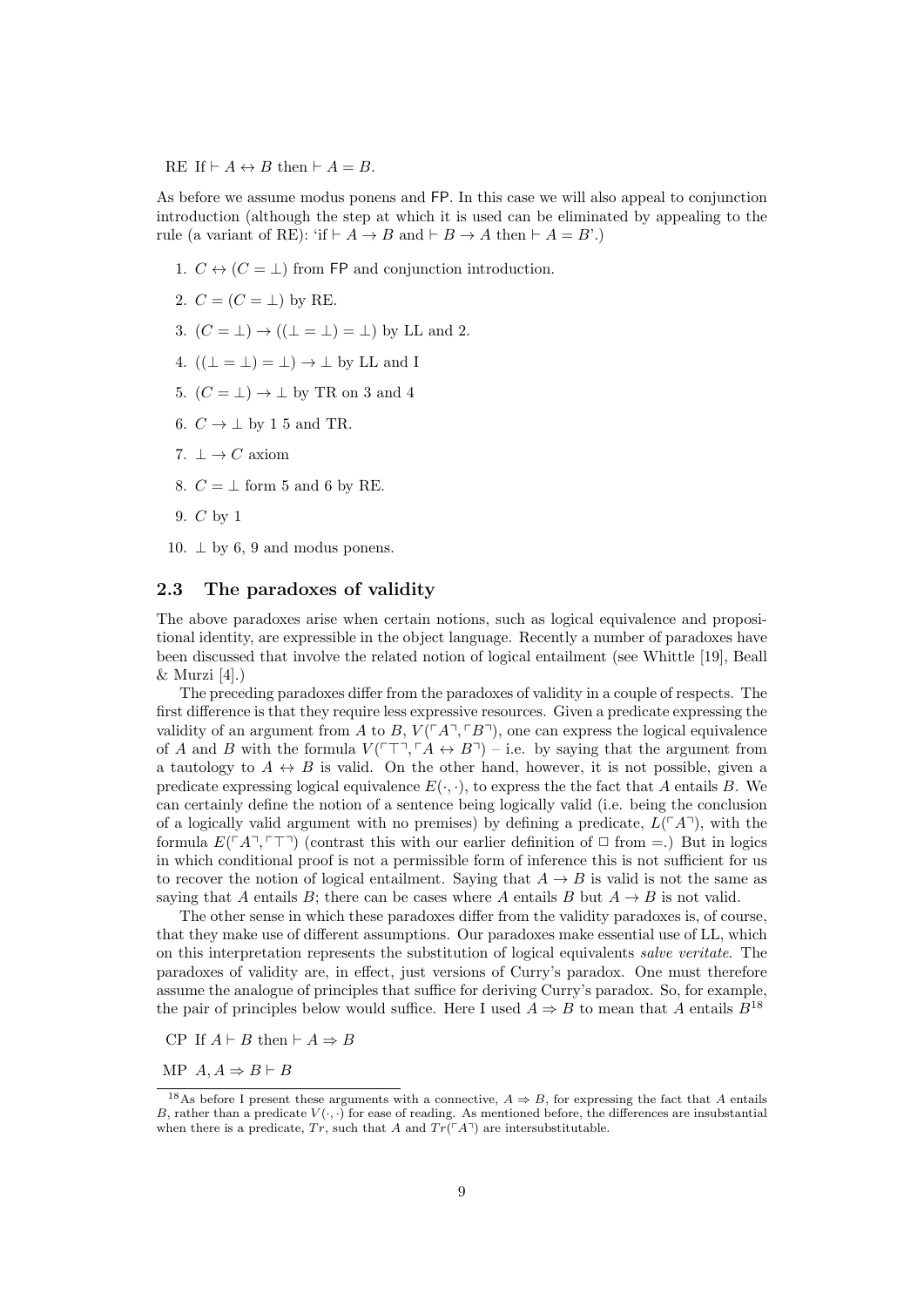RE If  $\vdash A \leftrightarrow B$  then  $\vdash A = B$ .

As before we assume modus ponens and FP. In this case we will also appeal to conjunction introduction (although the step at which it is used can be eliminated by appealing to the rule (a variant of RE): 'if  $\vdash A \rightarrow B$  and  $\vdash B \rightarrow A$  then  $\vdash A = B'$ .)

- 1.  $C \leftrightarrow (C = \perp)$  from FP and conjunction introduction.
- 2.  $C = (C = \perp)$  by RE.
- 3.  $(C = \bot) \rightarrow ((\bot = \bot) = \bot)$  by LL and 2.
- 4.  $((\perp = \perp) = \perp) \rightarrow \perp$  by LL and I
- 5.  $(C = \perp) \rightarrow \perp$  by TR on 3 and 4
- 6.  $C \rightarrow \perp$  by 1 5 and TR.
- 7.  $\perp \rightarrow C$  axiom
- 8.  $C = \perp$  form 5 and 6 by RE.
- 9. C by 1
- 10.  $\perp$  by 6, 9 and modus ponens.

#### 2.3 The paradoxes of validity

The above paradoxes arise when certain notions, such as logical equivalence and propositional identity, are expressible in the object language. Recently a number of paradoxes have been discussed that involve the related notion of logical entailment (see Whittle [19], Beall  $&$  Murzi [4].)

The preceding paradoxes differ from the paradoxes of validity in a couple of respects. The first difference is that they require less expressive resources. Given a predicate expressing the validity of an argument from A to B,  $V(\ulcorner A \urcorner, \ulcorner B \urcorner)$ , one can express the logical equivalence of A and B with the formula  $V(\ulcorner\top\urcorner, \ulcorner A \leftrightarrow B\urcorner) -$  i.e. by saying that the argument from a tautology to  $A \leftrightarrow B$  is valid. On the other hand, however, it is not possible, given a predicate expressing logical equivalence  $E(\cdot, \cdot)$ , to express the the fact that A entails B. We can certainly define the notion of a sentence being logically valid (i.e. being the conclusion of a logically valid argument with no premises) by defining a predicate,  $L(\ulcorner A\urcorner)$ , with the formula  $E(\ulcorner A\urcorner, \ulcorner \ulcorner \urcorner)$  (contrast this with our earlier definition of  $\Box$  from =.) But in logics in which conditional proof is not a permissible form of inference this is not sufficient for us to recover the notion of logical entailment. Saying that  $A \rightarrow B$  is valid is not the same as saying that A entails B; there can be cases where A entails B but  $A \rightarrow B$  is not valid.

The other sense in which these paradoxes differ from the validity paradoxes is, of course, that they make use of different assumptions. Our paradoxes make essential use of LL, which on this interpretation represents the substitution of logical equivalents salve veritate. The paradoxes of validity are, in effect, just versions of Curry's paradox. One must therefore assume the analogue of principles that suffice for deriving Curry's paradox. So, for example, the pair of principles below would suffice. Here I used  $A \Rightarrow B$  to mean that A entails  $B^{18}$ 

CP If  $A \vdash B$  then  $\vdash A \Rightarrow B$ 

MP  $A, A \Rightarrow B \vdash B$ 

<sup>&</sup>lt;sup>18</sup>As before I present these arguments with a connective,  $A \Rightarrow B$ , for expressing the fact that A entails B, rather than a predicate  $V(\cdot, \cdot)$  for ease of reading. As mentioned before, the differences are insubstantial when there is a predicate,  $Tr$ , such that A and  $Tr(\ulcorner A\urcorner)$  are intersubstitutable.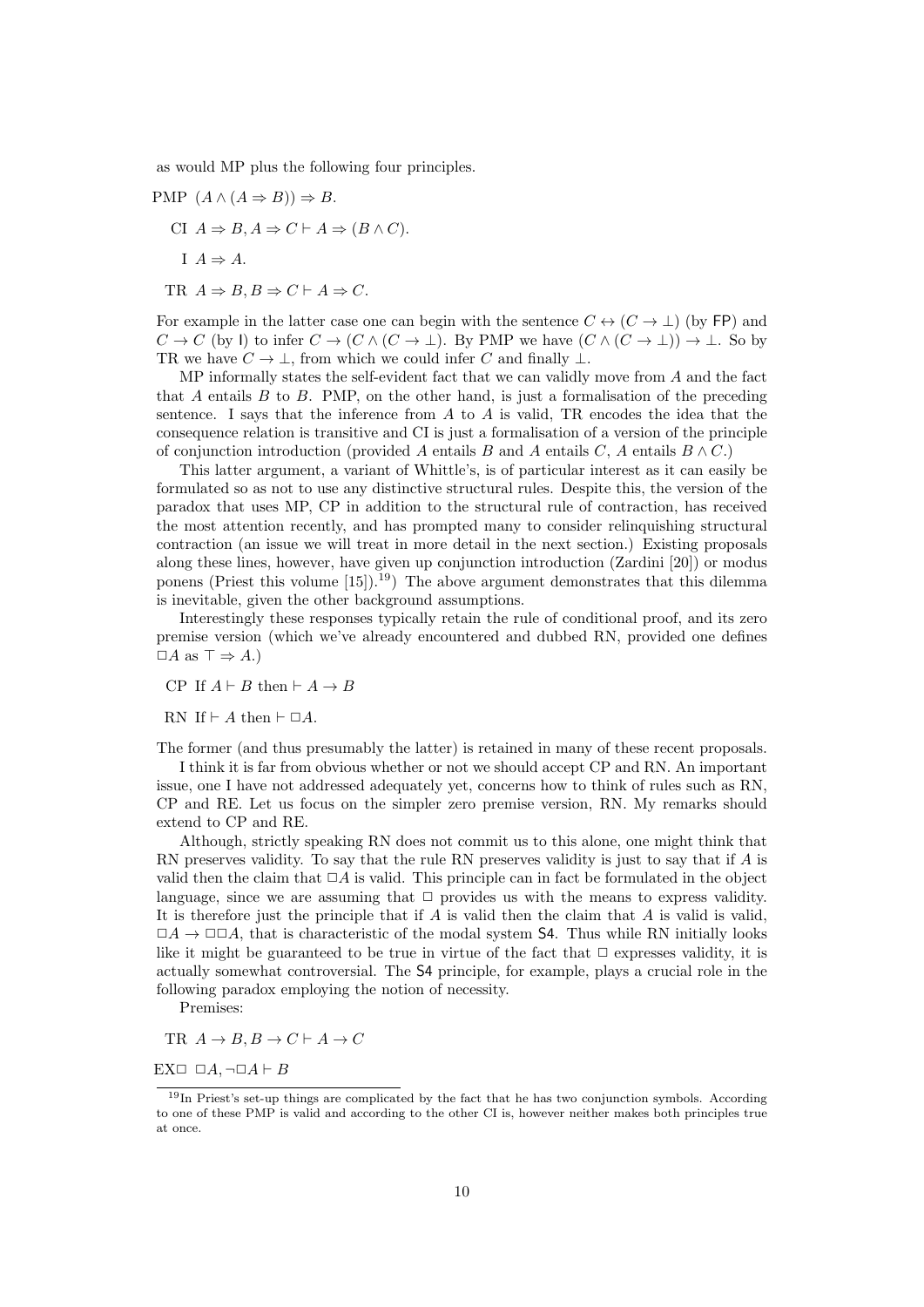as would MP plus the following four principles.

- PMP  $(A \wedge (A \Rightarrow B)) \Rightarrow B$ . CI  $A \Rightarrow B, A \Rightarrow C \vdash A \Rightarrow (B \wedge C)$ .  $I \land A \Rightarrow A$ .
	- TR  $A \Rightarrow B, B \Rightarrow C \vdash A \Rightarrow C$ .

For example in the latter case one can begin with the sentence  $C \leftrightarrow (C \rightarrow \perp)$  (by FP) and  $C \to C$  (by I) to infer  $C \to (C \land (C \to \bot)$ . By PMP we have  $(C \land (C \to \bot)) \to \bot$ . So by TR we have  $C \to \bot$ , from which we could infer C and finally  $\bot$ .

MP informally states the self-evident fact that we can validly move from A and the fact that A entails  $B$  to  $B$ . PMP, on the other hand, is just a formalisation of the preceding sentence. I says that the inference from  $A$  to  $A$  is valid, TR encodes the idea that the consequence relation is transitive and CI is just a formalisation of a version of the principle of conjunction introduction (provided A entails B and A entails  $C$ , A entails  $B \wedge C$ .)

This latter argument, a variant of Whittle's, is of particular interest as it can easily be formulated so as not to use any distinctive structural rules. Despite this, the version of the paradox that uses MP, CP in addition to the structural rule of contraction, has received the most attention recently, and has prompted many to consider relinquishing structural contraction (an issue we will treat in more detail in the next section.) Existing proposals along these lines, however, have given up conjunction introduction (Zardini [20]) or modus ponens (Priest this volume  $[15]$ ).<sup>19</sup>) The above argument demonstrates that this dilemma is inevitable, given the other background assumptions.

Interestingly these responses typically retain the rule of conditional proof, and its zero premise version (which we've already encountered and dubbed RN, provided one defines  $\Box A$  as  $\top \Rightarrow A$ .)

CP If  $A \vdash B$  then  $\vdash A \rightarrow B$ 

RN If  $\vdash A$  then  $\vdash \Box A$ .

The former (and thus presumably the latter) is retained in many of these recent proposals.

I think it is far from obvious whether or not we should accept CP and RN. An important issue, one I have not addressed adequately yet, concerns how to think of rules such as RN, CP and RE. Let us focus on the simpler zero premise version, RN. My remarks should extend to CP and RE.

Although, strictly speaking RN does not commit us to this alone, one might think that RN preserves validity. To say that the rule RN preserves validity is just to say that if A is valid then the claim that  $\Box A$  is valid. This principle can in fact be formulated in the object language, since we are assuming that  $\Box$  provides us with the means to express validity. It is therefore just the principle that if  $A$  is valid then the claim that  $A$  is valid is valid,  $\Box A \rightarrow \Box \Box A$ , that is characteristic of the modal system S4. Thus while RN initially looks like it might be guaranteed to be true in virtue of the fact that  $\Box$  expresses validity, it is actually somewhat controversial. The S4 principle, for example, plays a crucial role in the following paradox employing the notion of necessity.

Premises:

TR 
$$
A \rightarrow B
$$
,  $B \rightarrow C \vdash A \rightarrow C$ 

EX $\Box$   $\Box A$ ,  $\neg \Box A \vdash B$ 

 $19$ In Priest's set-up things are complicated by the fact that he has two conjunction symbols. According to one of these PMP is valid and according to the other CI is, however neither makes both principles true at once.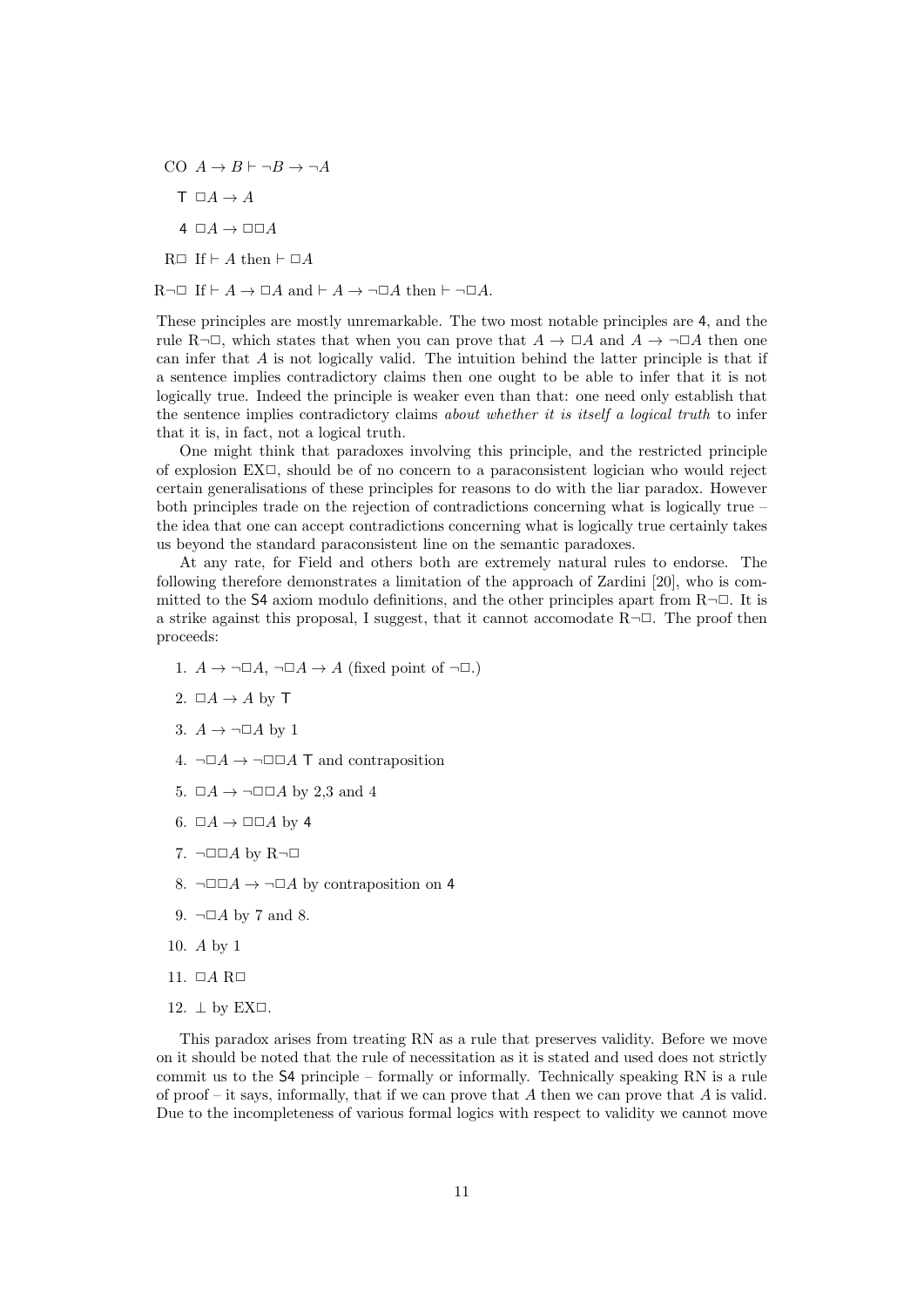- CO  $A \rightarrow B \vdash \neg B \rightarrow \neg A$ 
	- $T \Box A \rightarrow A$
	- $4 \Box A \rightarrow \Box \Box A$
- $R \Box$  If  $\vdash A$  then  $\vdash \Box A$

 $R\neg\Box$  If  $\vdash A \rightarrow \Box A$  and  $\vdash A \rightarrow \neg \Box A$  then  $\vdash \neg \Box A$ .

These principles are mostly unremarkable. The two most notable principles are 4, and the rule R¬ $\Box$ , which states that when you can prove that  $A \to \Box A$  and  $A \to \Box A$  then one can infer that A is not logically valid. The intuition behind the latter principle is that if a sentence implies contradictory claims then one ought to be able to infer that it is not logically true. Indeed the principle is weaker even than that: one need only establish that the sentence implies contradictory claims about whether it is itself a logical truth to infer that it is, in fact, not a logical truth.

One might think that paradoxes involving this principle, and the restricted principle of explosion  $EX\square$ , should be of no concern to a paraconsistent logician who would reject certain generalisations of these principles for reasons to do with the liar paradox. However both principles trade on the rejection of contradictions concerning what is logically true – the idea that one can accept contradictions concerning what is logically true certainly takes us beyond the standard paraconsistent line on the semantic paradoxes.

At any rate, for Field and others both are extremely natural rules to endorse. The following therefore demonstrates a limitation of the approach of Zardini [20], who is committed to the S4 axiom modulo definitions, and the other principles apart from  $R\neg\Box$ . It is a strike against this proposal, I suggest, that it cannot accomodate  $R\neg\Box$ . The proof then proceeds:

- 1.  $A \rightarrow \neg \Box A$ ,  $\neg \Box A \rightarrow A$  (fixed point of  $\neg \Box$ .)
- 2.  $\Box A \rightarrow A$  by T
- 3.  $A \rightarrow \neg \Box A$  by 1
- 4.  $\neg \Box A \rightarrow \neg \Box \Box A$  T and contraposition
- 5.  $\Box A \rightarrow \Box \Box A$  by 2,3 and 4
- 6.  $\Box A \rightarrow \Box \Box A$  by 4
- 7.  $\neg$  $\Box$  $\Box$ A by R $\neg$  $\Box$
- 8.  $\neg \Box \Box A \rightarrow \neg \Box A$  by contraposition on 4
- 9.  $\neg \Box A$  by 7 and 8.
- 10. A by 1
- 11.  $\Box A$  R $\Box$
- 12.  $\perp$  by EX $\Box$ .

This paradox arises from treating RN as a rule that preserves validity. Before we move on it should be noted that the rule of necessitation as it is stated and used does not strictly commit us to the S4 principle – formally or informally. Technically speaking RN is a rule of proof – it says, informally, that if we can prove that  $A$  then we can prove that  $A$  is valid. Due to the incompleteness of various formal logics with respect to validity we cannot move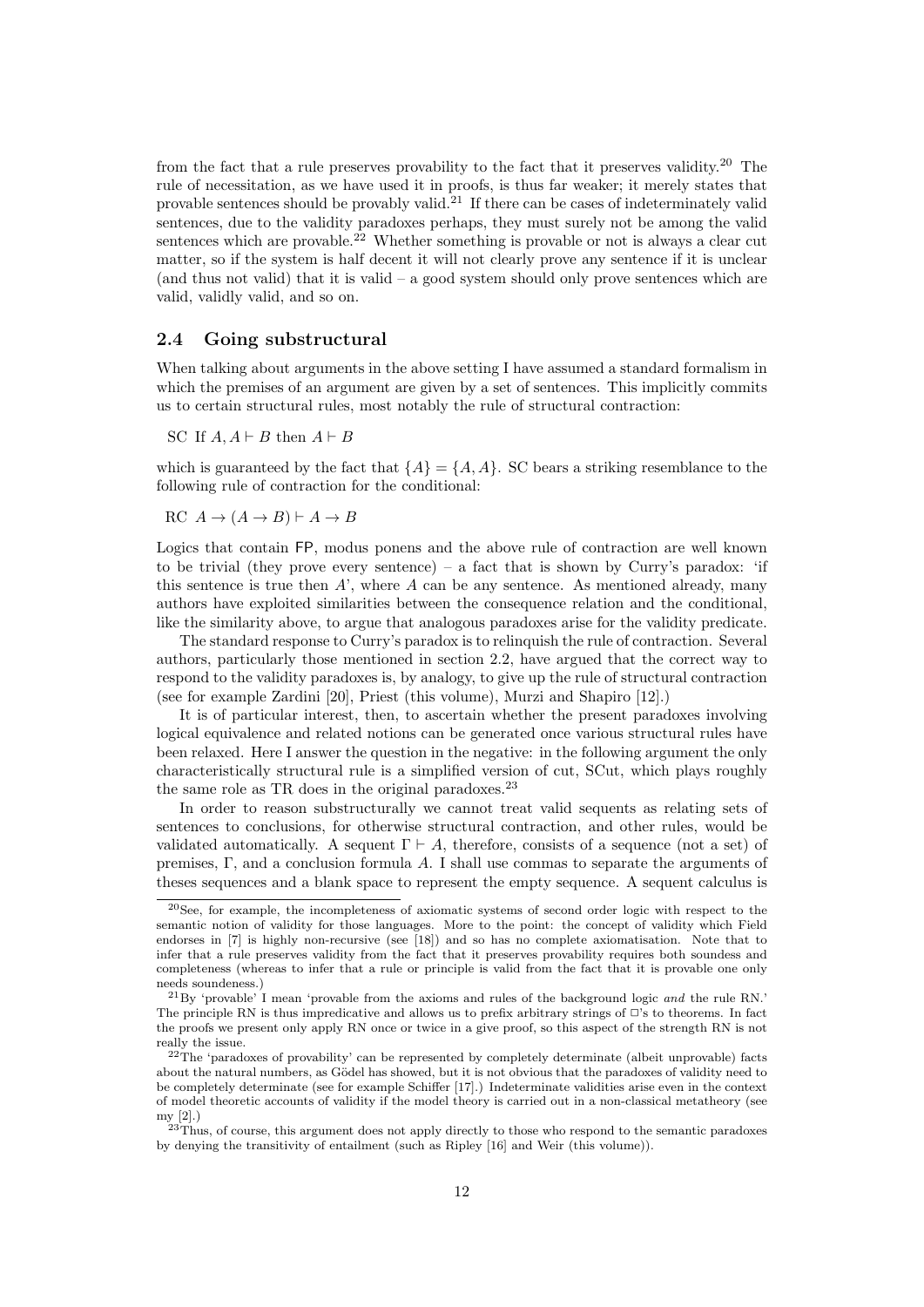from the fact that a rule preserves provability to the fact that it preserves validity.<sup>20</sup> The rule of necessitation, as we have used it in proofs, is thus far weaker; it merely states that provable sentences should be provably valid.<sup>21</sup> If there can be cases of indeterminately valid sentences, due to the validity paradoxes perhaps, they must surely not be among the valid sentences which are provable.<sup>22</sup> Whether something is provable or not is always a clear cut matter, so if the system is half decent it will not clearly prove any sentence if it is unclear (and thus not valid) that it is valid – a good system should only prove sentences which are valid, validly valid, and so on.

#### 2.4 Going substructural

When talking about arguments in the above setting I have assumed a standard formalism in which the premises of an argument are given by a set of sentences. This implicitly commits us to certain structural rules, most notably the rule of structural contraction:

SC If  $A, A \vdash B$  then  $A \vdash B$ 

which is guaranteed by the fact that  ${A} = {A, A}$ . SC bears a striking resemblance to the following rule of contraction for the conditional:

 $RC A \rightarrow (A \rightarrow B) \vdash A \rightarrow B$ 

Logics that contain FP, modus ponens and the above rule of contraction are well known to be trivial (they prove every sentence) – a fact that is shown by Curry's paradox: 'if this sentence is true then  $A'$ , where  $A$  can be any sentence. As mentioned already, many authors have exploited similarities between the consequence relation and the conditional, like the similarity above, to argue that analogous paradoxes arise for the validity predicate.

The standard response to Curry's paradox is to relinquish the rule of contraction. Several authors, particularly those mentioned in section 2.2, have argued that the correct way to respond to the validity paradoxes is, by analogy, to give up the rule of structural contraction (see for example Zardini [20], Priest (this volume), Murzi and Shapiro [12].)

It is of particular interest, then, to ascertain whether the present paradoxes involving logical equivalence and related notions can be generated once various structural rules have been relaxed. Here I answer the question in the negative: in the following argument the only characteristically structural rule is a simplified version of cut, SCut, which plays roughly the same role as TR does in the original paradoxes.<sup>23</sup>

In order to reason substructurally we cannot treat valid sequents as relating sets of sentences to conclusions, for otherwise structural contraction, and other rules, would be validated automatically. A sequent  $\Gamma \vdash A$ , therefore, consists of a sequence (not a set) of premises, Γ, and a conclusion formula A. I shall use commas to separate the arguments of theses sequences and a blank space to represent the empty sequence. A sequent calculus is

<sup>20</sup>See, for example, the incompleteness of axiomatic systems of second order logic with respect to the semantic notion of validity for those languages. More to the point: the concept of validity which Field endorses in [7] is highly non-recursive (see [18]) and so has no complete axiomatisation. Note that to infer that a rule preserves validity from the fact that it preserves provability requires both soundess and completeness (whereas to infer that a rule or principle is valid from the fact that it is provable one only needs soundeness.)

<sup>21</sup>By 'provable' I mean 'provable from the axioms and rules of the background logic and the rule RN.' The principle RN is thus impredicative and allows us to prefix arbitrary strings of  $\Box$ 's to theorems. In fact the proofs we present only apply RN once or twice in a give proof, so this aspect of the strength RN is not really the issue.

 $22$ The 'paradoxes of provability' can be represented by completely determinate (albeit unprovable) facts about the natural numbers, as Gödel has showed, but it is not obvious that the paradoxes of validity need to be completely determinate (see for example Schiffer [17].) Indeterminate validities arise even in the context of model theoretic accounts of validity if the model theory is carried out in a non-classical metatheory (see my [2].)

 $23$ Thus, of course, this argument does not apply directly to those who respond to the semantic paradoxes by denying the transitivity of entailment (such as Ripley [16] and Weir (this volume)).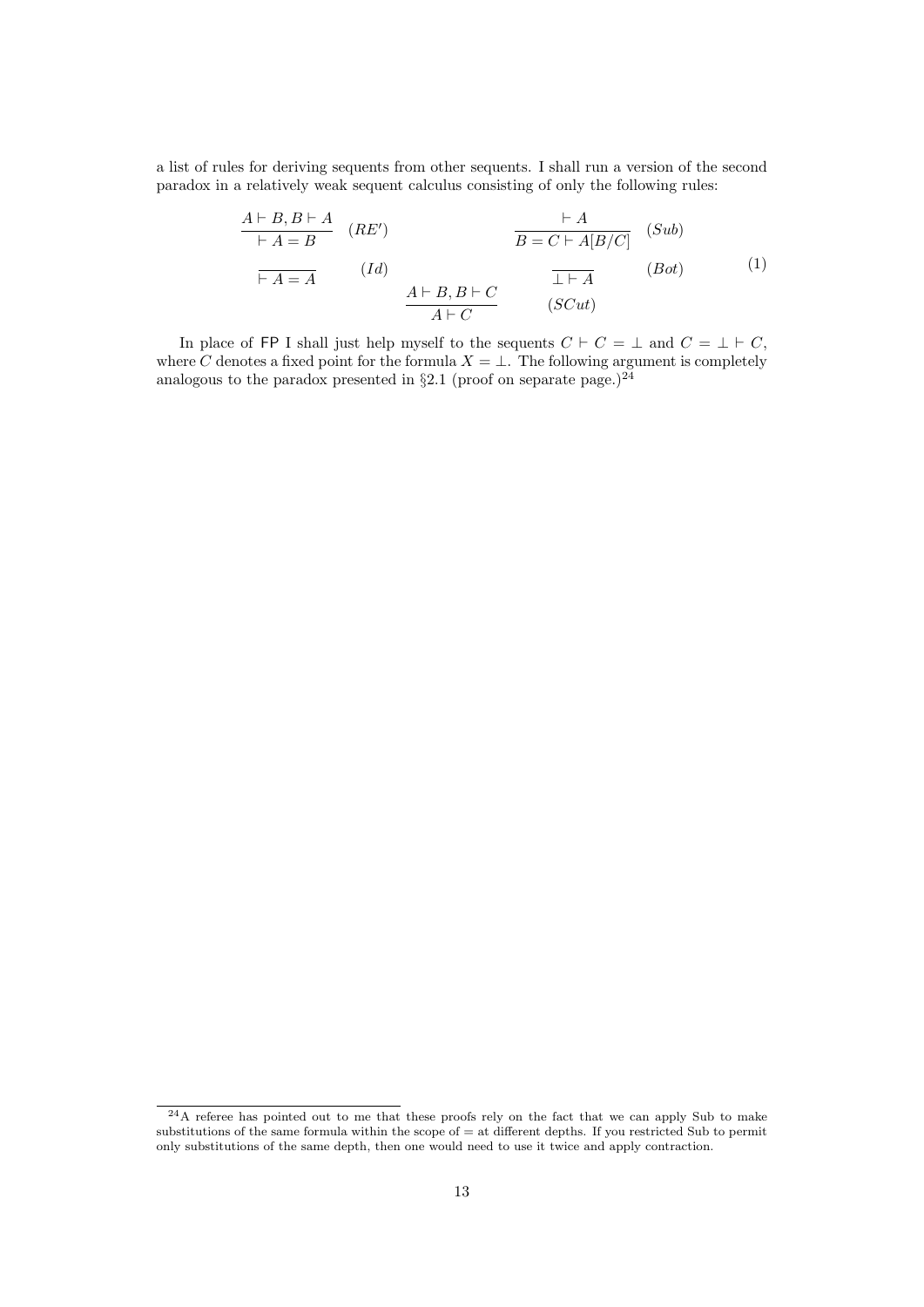a list of rules for deriving sequents from other sequents. I shall run a version of the second paradox in a relatively weak sequent calculus consisting of only the following rules:

$$
\frac{A \vdash B, B \vdash A}{\vdash A = B} \quad (RE') \qquad \qquad \frac{\vdash A}{B = C \vdash A[B/C]} \quad (Sub)
$$
\n
$$
\frac{\vdash A}{\vdash A = A} \qquad (Id) \qquad \qquad \frac{A \vdash B, B \vdash C}{A \vdash C} \qquad \frac{\bot \vdash A}{(SCut)} \quad (Bob)
$$
\n(1)

In place of FP I shall just help myself to the sequents  $C \vdash C = \bot$  and  $C = \bot \vdash C$ , where C denotes a fixed point for the formula  $X = \bot$ . The following argument is completely analogous to the paradox presented in  $\S 2.1$  (proof on separate page.)<sup>24</sup>

<sup>&</sup>lt;sup>24</sup>A referee has pointed out to me that these proofs rely on the fact that we can apply Sub to make substitutions of the same formula within the scope of = at different depths. If you restricted Sub to permit only substitutions of the same depth, then one would need to use it twice and apply contraction.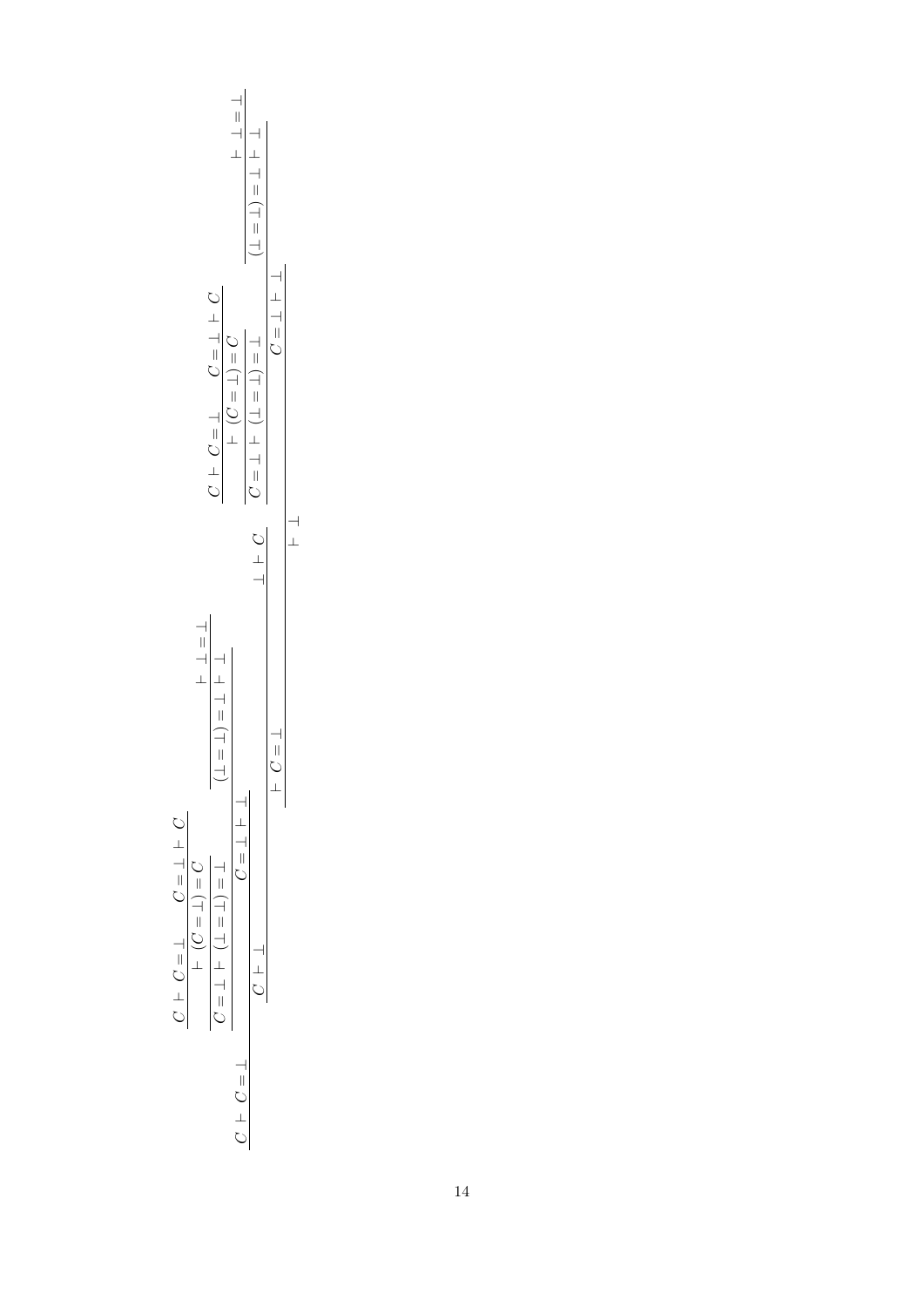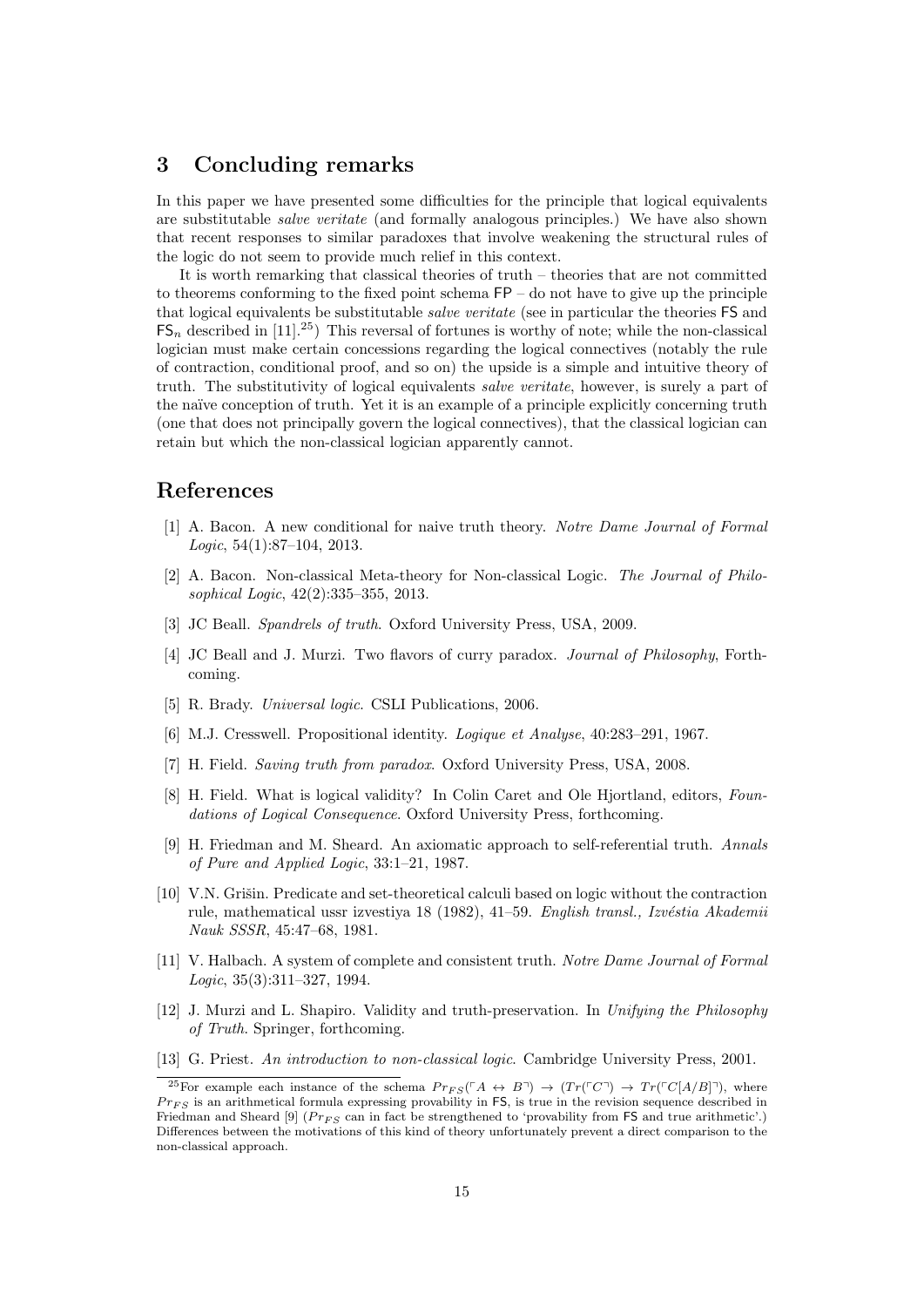# 3 Concluding remarks

In this paper we have presented some difficulties for the principle that logical equivalents are substitutable salve veritate (and formally analogous principles.) We have also shown that recent responses to similar paradoxes that involve weakening the structural rules of the logic do not seem to provide much relief in this context.

It is worth remarking that classical theories of truth – theories that are not committed to theorems conforming to the fixed point schema FP – do not have to give up the principle that logical equivalents be substitutable *salve veritate* (see in particular the theories FS and  $FS_n$  described in [11].<sup>25</sup>) This reversal of fortunes is worthy of note; while the non-classical logician must make certain concessions regarding the logical connectives (notably the rule of contraction, conditional proof, and so on) the upside is a simple and intuitive theory of truth. The substitutivity of logical equivalents salve veritate, however, is surely a part of the naïve conception of truth. Yet it is an example of a principle explicitly concerning truth (one that does not principally govern the logical connectives), that the classical logician can retain but which the non-classical logician apparently cannot.

# References

- [1] A. Bacon. A new conditional for naive truth theory. Notre Dame Journal of Formal Logic,  $54(1):87-104$ ,  $2013$ .
- [2] A. Bacon. Non-classical Meta-theory for Non-classical Logic. The Journal of Philosophical Logic, 42(2):335–355, 2013.
- [3] JC Beall. Spandrels of truth. Oxford University Press, USA, 2009.
- [4] JC Beall and J. Murzi. Two flavors of curry paradox. Journal of Philosophy, Forthcoming.
- [5] R. Brady. Universal logic. CSLI Publications, 2006.
- [6] M.J. Cresswell. Propositional identity. Logique et Analyse, 40:283–291, 1967.
- [7] H. Field. Saving truth from paradox. Oxford University Press, USA, 2008.
- [8] H. Field. What is logical validity? In Colin Caret and Ole Hjortland, editors, Foundations of Logical Consequence. Oxford University Press, forthcoming.
- [9] H. Friedman and M. Sheard. An axiomatic approach to self-referential truth. Annals of Pure and Applied Logic, 33:1–21, 1987.
- [10] V.N. Grišin. Predicate and set-theoretical calculi based on logic without the contraction rule, mathematical ussr izvestiya 18 (1982), 41–59. English transl., Izvéstia Akademii Nauk SSSR, 45:47–68, 1981.
- [11] V. Halbach. A system of complete and consistent truth. Notre Dame Journal of Formal Logic, 35(3):311–327, 1994.
- [12] J. Murzi and L. Shapiro. Validity and truth-preservation. In Unifying the Philosophy of Truth. Springer, forthcoming.
- [13] G. Priest. An introduction to non-classical logic. Cambridge University Press, 2001.

<sup>&</sup>lt;sup>25</sup>For example each instance of the schema  $Pr_{FS}(\ulcorner A \leftrightarrow B\urcorner) \rightarrow (Tr(\ulcorner C\urcorner) \rightarrow Tr(\ulcorner C[A/B]\urcorner)$ , where  $Pr_{FS}$  is an arithmetical formula expressing provability in FS, is true in the revision sequence described in Friedman and Sheard [9] ( $Pr_{FS}$  can in fact be strengthened to 'provability from FS and true arithmetic'.) Differences between the motivations of this kind of theory unfortunately prevent a direct comparison to the non-classical approach.